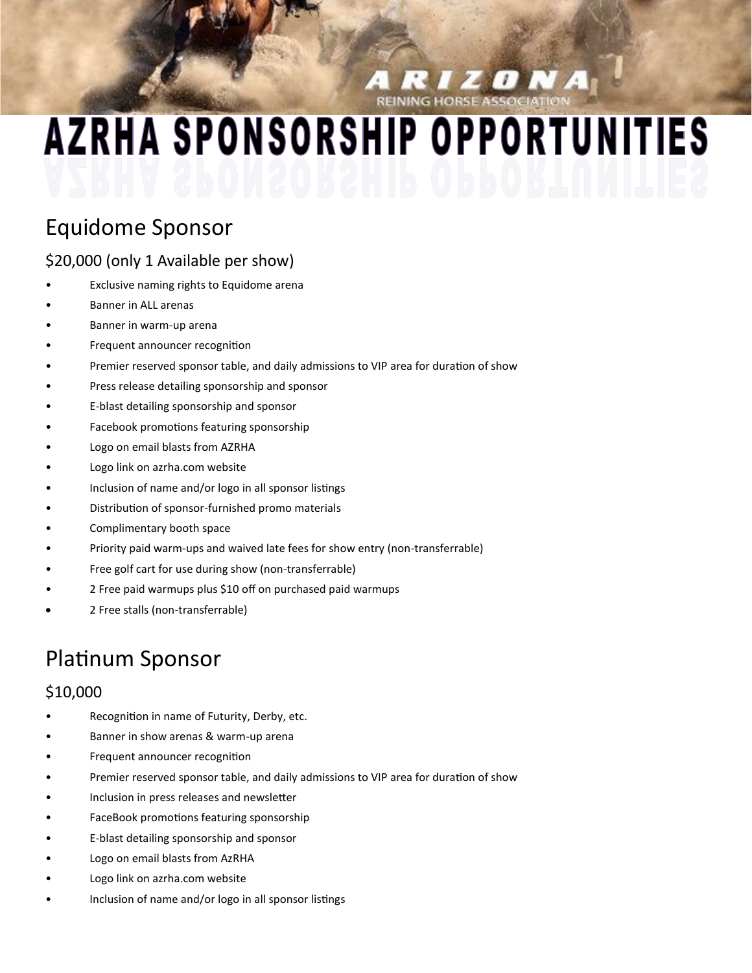**A RIZONA** 

# **AZRHA SPONSORSHIP OPPORTUNITIES**

## Equidome Sponsor

#### \$20,000 (only 1 Available per show)

- Exclusive naming rights to Equidome arena
- Banner in ALL arenas
- Banner in warm-up arena
- Frequent announcer recognition
- Premier reserved sponsor table, and daily admissions to VIP area for duration of show
- Press release detailing sponsorship and sponsor
- E-blast detailing sponsorship and sponsor
- Facebook promotions featuring sponsorship
- Logo on email blasts from AZRHA
- Logo link on azrha.com website
- Inclusion of name and/or logo in all sponsor listings
- Distribution of sponsor-furnished promo materials
- Complimentary booth space
- Priority paid warm-ups and waived late fees for show entry (non-transferrable)
- Free golf cart for use during show (non-transferrable)
- 2 Free paid warmups plus \$10 off on purchased paid warmups
- 2 Free stalls (non-transferrable)

## Platinum Sponsor

#### \$10,000

- Recognition in name of Futurity, Derby, etc.
- Banner in show arenas & warm-up arena
- Frequent announcer recognition
- Premier reserved sponsor table, and daily admissions to VIP area for duration of show
- Inclusion in press releases and newsletter
- FaceBook promotions featuring sponsorship
- E-blast detailing sponsorship and sponsor
- Logo on email blasts from AzRHA
- Logo link on azrha.com website
- Inclusion of name and/or logo in all sponsor listings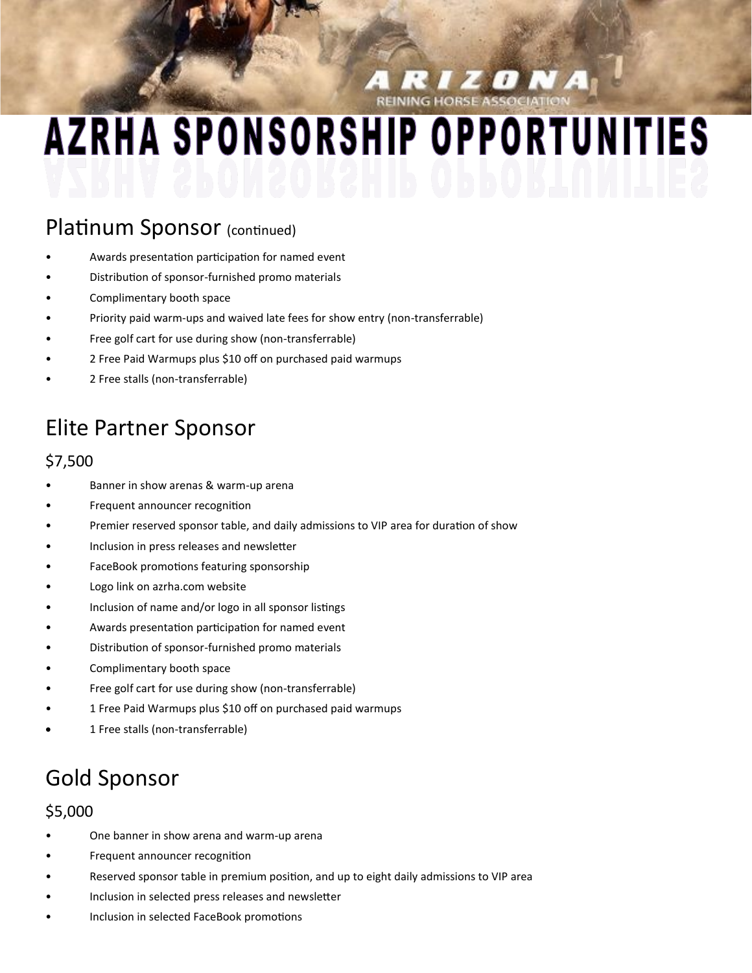**ELECTE MA** 

## **AZRHA SPONSORSHIP OPPORTUNITIES**

#### Platinum Sponsor (continued)

- Awards presentation participation for named event
- Distribution of sponsor-furnished promo materials
- Complimentary booth space
- Priority paid warm-ups and waived late fees for show entry (non-transferrable)
- Free golf cart for use during show (non-transferrable)
- 2 Free Paid Warmups plus \$10 off on purchased paid warmups
- 2 Free stalls (non-transferrable)

## Elite Partner Sponsor

#### \$7,500

- Banner in show arenas & warm-up arena
- Frequent announcer recognition
- Premier reserved sponsor table, and daily admissions to VIP area for duration of show
- Inclusion in press releases and newsletter
- FaceBook promotions featuring sponsorship
- Logo link on azrha.com website
- Inclusion of name and/or logo in all sponsor listings
- Awards presentation participation for named event
- Distribution of sponsor-furnished promo materials
- Complimentary booth space
- Free golf cart for use during show (non-transferrable)
- 1 Free Paid Warmups plus \$10 off on purchased paid warmups
- 1 Free stalls (non-transferrable)

## Gold Sponsor

#### \$5,000

- One banner in show arena and warm-up arena
- Frequent announcer recognition
- Reserved sponsor table in premium position, and up to eight daily admissions to VIP area
- Inclusion in selected press releases and newsletter
- Inclusion in selected FaceBook promotions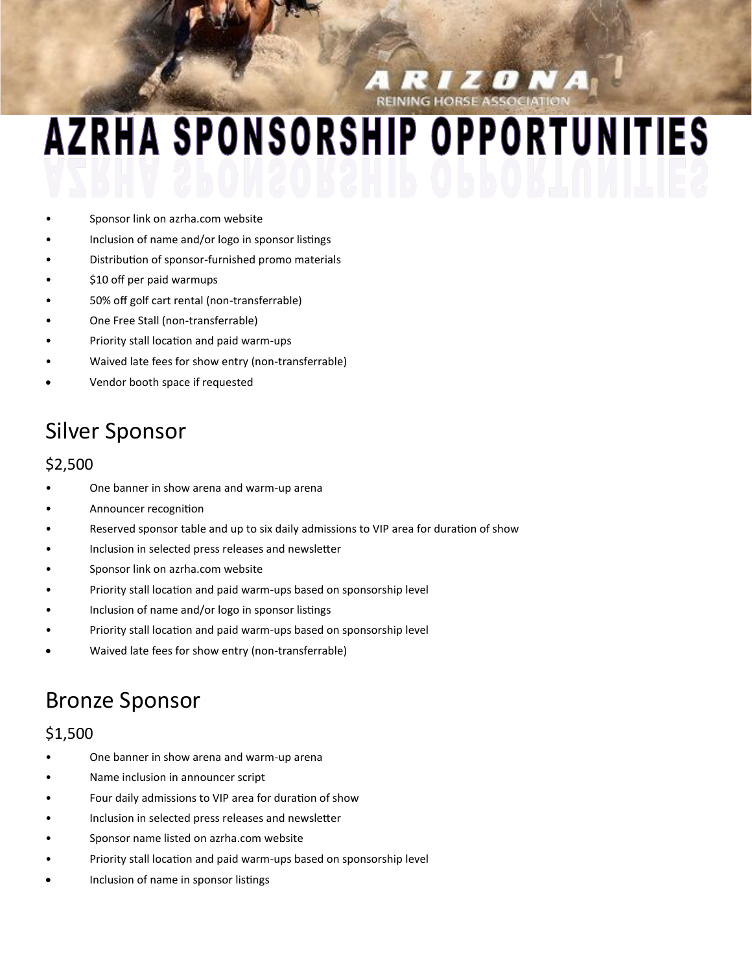**RIZONA** 

## **AZRHA SPONSORSHIP OPPORTUNITIES**

- Sponsor link on azrha.com website
- Inclusion of name and/or logo in sponsor listings
- Distribution of sponsor-furnished promo materials
- \$10 off per paid warmups
- 50% off golf cart rental (non-transferrable)
- One Free Stall (non-transferrable)
- Priority stall location and paid warm-ups
- Waived late fees for show entry (non-transferrable)
- Vendor booth space if requested

### Silver Sponsor

#### \$2,500

- One banner in show arena and warm-up arena
- Announcer recognition
- Reserved sponsor table and up to six daily admissions to VIP area for duration of show
- Inclusion in selected press releases and newsletter
- Sponsor link on azrha.com website
- Priority stall location and paid warm-ups based on sponsorship level
- Inclusion of name and/or logo in sponsor listings
- Priority stall location and paid warm-ups based on sponsorship level
- Waived late fees for show entry (non-transferrable)

#### Bronze Sponsor

#### \$1,500

- One banner in show arena and warm-up arena
- Name inclusion in announcer script
- Four daily admissions to VIP area for duration of show
- Inclusion in selected press releases and newsletter
- Sponsor name listed on azrha.com website
- Priority stall location and paid warm-ups based on sponsorship level
- Inclusion of name in sponsor listings